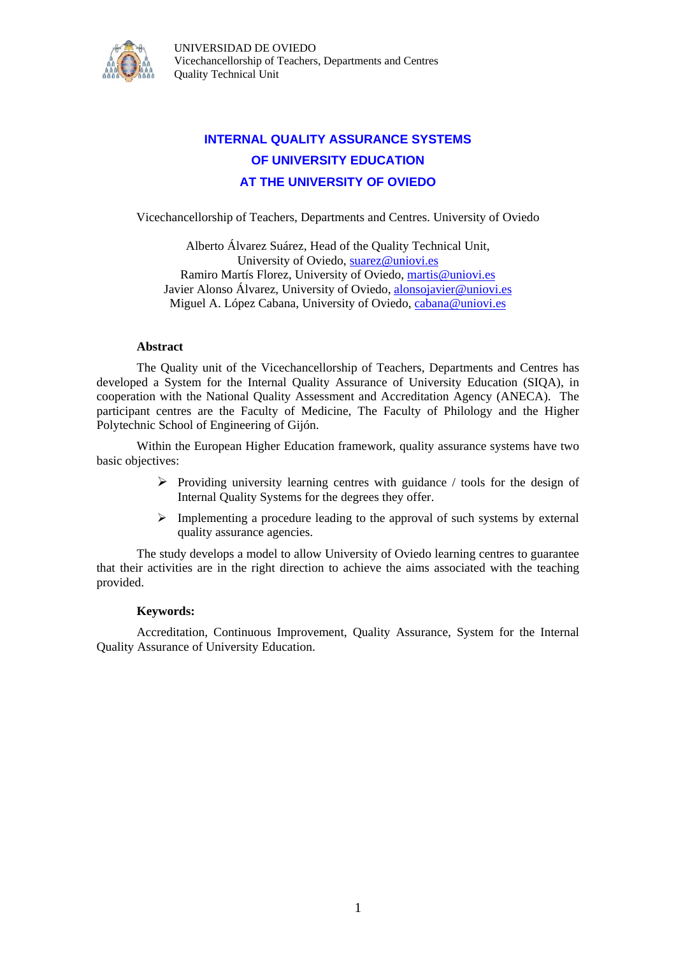

UNIVERSIDAD DE OVIEDO Vicechancellorship of Teachers, Departments and Centres Quality Technical Unit

## **INTERNAL QUALITY ASSURANCE SYSTEMS OF UNIVERSITY EDUCATION AT THE UNIVERSITY OF OVIEDO**

Vicechancellorship of Teachers, Departments and Centres. University of Oviedo

Alberto Álvarez Suárez, Head of the Quality Technical Unit, University of Oviedo, [suarez@uniovi.es](mailto:suarez@uniovi.es) Ramiro Martís Florez, University of Oviedo, [martis@uniovi.es](mailto:martis@uniovi.es) Javier Alonso Álvarez, University of Oviedo, [alonsojavier@uniovi.es](mailto:alonsojavier@uniovi.es) Miguel A. López Cabana, University of Oviedo, [cabana@uniovi.es](mailto:cabana@uniovi.es)

#### **Abstract**

The Quality unit of the Vicechancellorship of Teachers, Departments and Centres has developed a System for the Internal Quality Assurance of University Education (SIQA), in cooperation with the National Quality Assessment and Accreditation Agency (ANECA). The participant centres are the Faculty of Medicine, The Faculty of Philology and the Higher Polytechnic School of Engineering of Gijón.

Within the European Higher Education framework, quality assurance systems have two basic objectives:

- $\triangleright$  Providing university learning centres with guidance / tools for the design of Internal Quality Systems for the degrees they offer.
- $\triangleright$  Implementing a procedure leading to the approval of such systems by external quality assurance agencies.

The study develops a model to allow University of Oviedo learning centres to guarantee that their activities are in the right direction to achieve the aims associated with the teaching provided.

#### **Keywords:**

Accreditation, Continuous Improvement, Quality Assurance, System for the Internal Quality Assurance of University Education.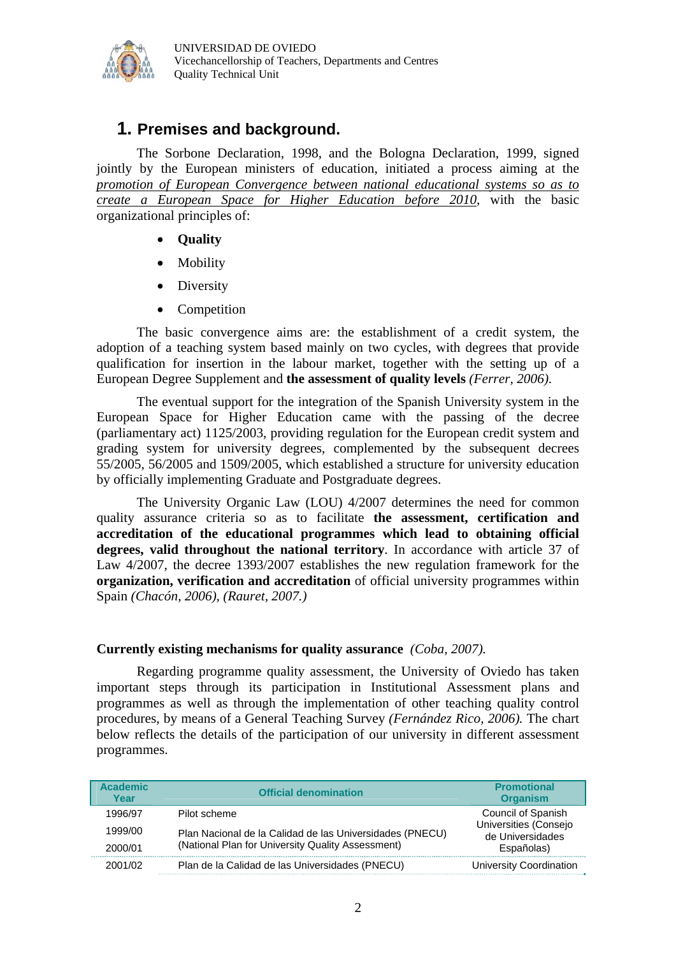

## **1. Premises and background.**

The Sorbone Declaration, 1998, and the Bologna Declaration, 1999, signed jointly by the European ministers of education, initiated a process aiming at the *promotion of European Convergence between national educational systems so as to create a European Space for Higher Education before 2010*, with the basic organizational principles of:

- **Quality**
- Mobility
- Diversity
- Competition

The basic convergence aims are: the establishment of a credit system, the adoption of a teaching system based mainly on two cycles, with degrees that provide qualification for insertion in the labour market, together with the setting up of a European Degree Supplement and **the assessment of quality levels** *(Ferrer, 2006)*.

The eventual support for the integration of the Spanish University system in the European Space for Higher Education came with the passing of the decree (parliamentary act) 1125/2003, providing regulation for the European credit system and grading system for university degrees, complemented by the subsequent decrees 55/2005, 56/2005 and 1509/2005, which established a structure for university education by officially implementing Graduate and Postgraduate degrees.

The University Organic Law (LOU) 4/2007 determines the need for common quality assurance criteria so as to facilitate **the assessment, certification and accreditation of the educational programmes which lead to obtaining official degrees, valid throughout the national territory**. In accordance with article 37 of Law 4/2007, the decree 1393/2007 establishes the new regulation framework for the **organization, verification and accreditation** of official university programmes within Spain *(Chacón, 2006), (Rauret, 2007.)*

#### **Currently existing mechanisms for quality assurance** *(Coba, 2007).*

Regarding programme quality assessment, the University of Oviedo has taken important steps through its participation in Institutional Assessment plans and programmes as well as through the implementation of other teaching quality control procedures, by means of a General Teaching Survey *(Fernández Rico, 2006).* The chart below reflects the details of the participation of our university in different assessment programmes.

| <b>Academic</b><br>Year | <b>Official denomination</b>                             | <b>Promotional</b><br><b>Organism</b>     |
|-------------------------|----------------------------------------------------------|-------------------------------------------|
| 1996/97                 | Pilot scheme                                             | Council of Spanish                        |
| 1999/00                 | Plan Nacional de la Calidad de las Universidades (PNECU) | Universities (Consejo<br>de Universidades |
| 2000/01                 | (National Plan for University Quality Assessment)        | Españolas)                                |
| 2001/02                 | Plan de la Calidad de las Universidades (PNECU)          | <b>University Coordination</b>            |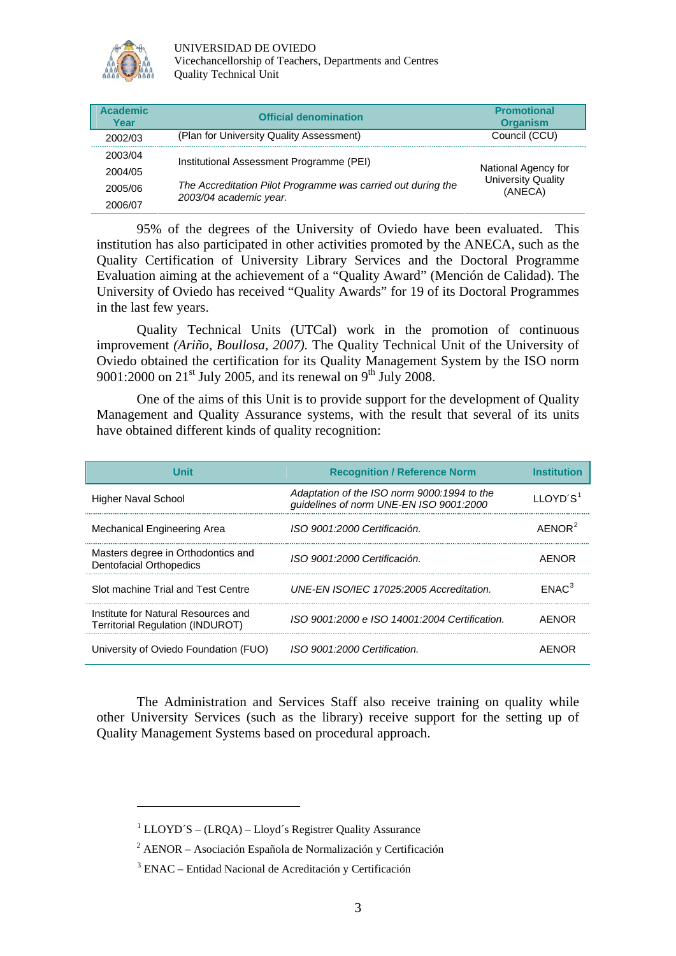

UNIVERSIDAD DE OVIEDO Vicechancellorship of Teachers, Departments and Centres

Quality Technical Unit

| <b>Academic</b><br>Year | <b>Official denomination</b>                                 | <b>Promotional</b><br><b>Organism</b> |  |
|-------------------------|--------------------------------------------------------------|---------------------------------------|--|
| 2002/03                 | (Plan for University Quality Assessment)                     | Council (CCU)                         |  |
| 2003/04                 | Institutional Assessment Programme (PEI)                     |                                       |  |
| 2004/05                 |                                                              | National Agency for                   |  |
| 2005/06                 | The Accreditation Pilot Programme was carried out during the | <b>University Quality</b><br>(ANECA)  |  |
| 2006/07                 | 2003/04 academic year.                                       |                                       |  |

95% of the degrees of the University of Oviedo have been evaluated. This institution has also participated in other activities promoted by the ANECA, such as the Quality Certification of University Library Services and the Doctoral Programme Evaluation aiming at the achievement of a "Quality Award" (Mención de Calidad). The University of Oviedo has received "Quality Awards" for 19 of its Doctoral Programmes in the last few years.

Quality Technical Units (UTCal) work in the promotion of continuous improvement *(Ariño, Boullosa, 2007).* The Quality Technical Unit of the University of Oviedo obtained the certification for its Quality Management System by the ISO norm 9001:2000 on  $21<sup>st</sup>$  July 2005, and its renewal on 9<sup>th</sup> July 2008.

One of the aims of this Unit is to provide support for the development of Quality Management and Quality Assurance systems, with the result that several of its units have obtained different kinds of quality recognition:

| l Init                                                                  | <b>Recognition / Reference Norm</b>                                                    |                      |
|-------------------------------------------------------------------------|----------------------------------------------------------------------------------------|----------------------|
| <b>Higher Naval School</b>                                              | Adaptation of the ISO norm 9000:1994 to the<br>guidelines of norm UNE-EN ISO 9001:2000 | 110YD'S <sup>1</sup> |
| Mechanical Engineering Area                                             | ISO 9001:2000 Certificación.                                                           | AFNOR <sup>2</sup>   |
| Masters degree in Orthodontics and<br><b>Dentofacial Orthopedics</b>    | ISO 9001:2000 Certificación.                                                           | AENOR                |
| Slot machine Trial and Test Centre                                      | UNF-FN ISO/IFC 17025:2005 Accreditation.                                               | FNAC <sup>3</sup>    |
| Institute for Natural Resources and<br>Territorial Regulation (INDUROT) | ISO 9001:2000 e ISO 14001:2004 Certification.                                          | AFNOR                |
| University of Oviedo Foundation (FUO)                                   | ISO 9001:2000 Certification.                                                           | AFNC                 |

The Administration and Services Staff also receive training on quality while other University Services (such as the library) receive support for the setting up of Quality Management Systems based on procedural approach.

<u> 1989 - Johann Stein, marwolaethau a bh</u>

<span id="page-2-0"></span><sup>&</sup>lt;sup>1</sup> LLOYD´S – (LRQA) – Lloyd´s Registrer Quality Assurance

<span id="page-2-1"></span><sup>2</sup> AENOR – Asociación Española de Normalización y Certificación

<span id="page-2-2"></span><sup>3</sup> ENAC – Entidad Nacional de Acreditación y Certificación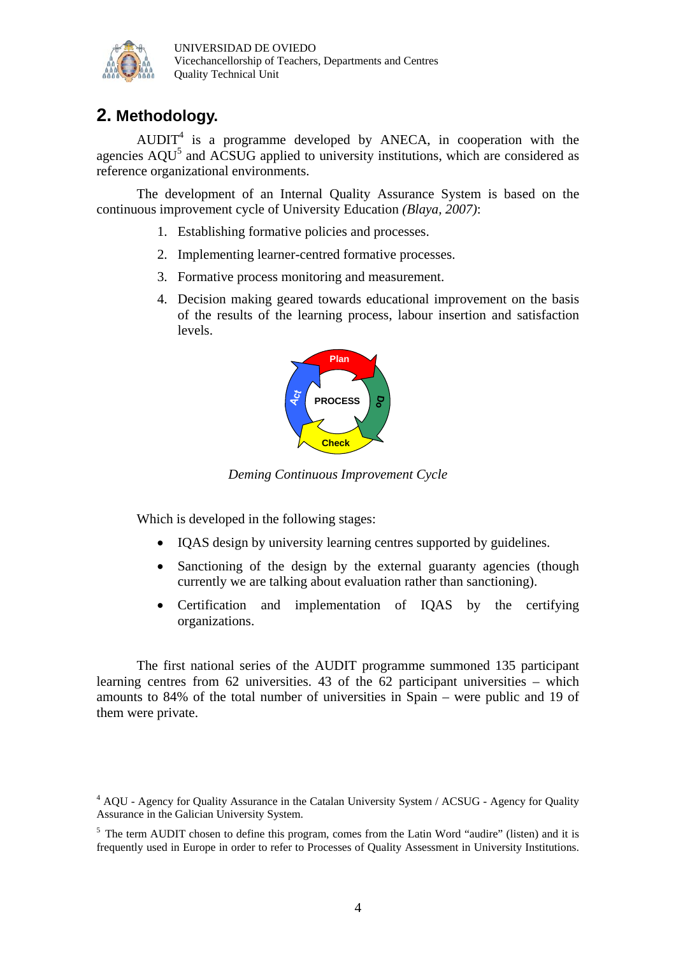

# **2. Methodology.**

 $AUDIT<sup>4</sup>$  is a programme developed by ANECA, in cooperation with the agencies  $AQU<sup>5</sup>$  and  $\widehat{AC}SUG$  applied to university institutions, which are considered as reference organizational environments.

The development of an Internal Quality Assurance System is based on the continuous improvement cycle of University Education *(Blaya, 2007)*:

- 1. Establishing formative policies and processes.
- 2. Implementing learner-centred formative processes.
- 3. Formative process monitoring and measurement.
- 4. Decision making geared towards educational improvement on the basis of the results of the learning process, labour insertion and satisfaction levels.



*Deming Continuous Improvement Cycle*

Which is developed in the following stages:

- IQAS design by university learning centres supported by guidelines.
- Sanctioning of the design by the external guaranty agencies (though currently we are talking about evaluation rather than sanctioning).
- Certification and implementation of IQAS by the certifying organizations.

The first national series of the AUDIT programme summoned 135 participant learning centres from 62 universities. 43 of the 62 participant universities – which amounts to 84% of the total number of universities in Spain – were public and 19 of them were private.

<sup>&</sup>lt;sup>4</sup> AQU - Agency for Quality Assurance in the Catalan University System / ACSUG - Agency for Quality Assurance in the Galician University System.

<sup>&</sup>lt;sup>5</sup> The term AUDIT chosen to define this program, comes from the Latin Word "audire" (listen) and it is frequently used in Europe in order to refer to Processes of Quality Assessment in University Institutions.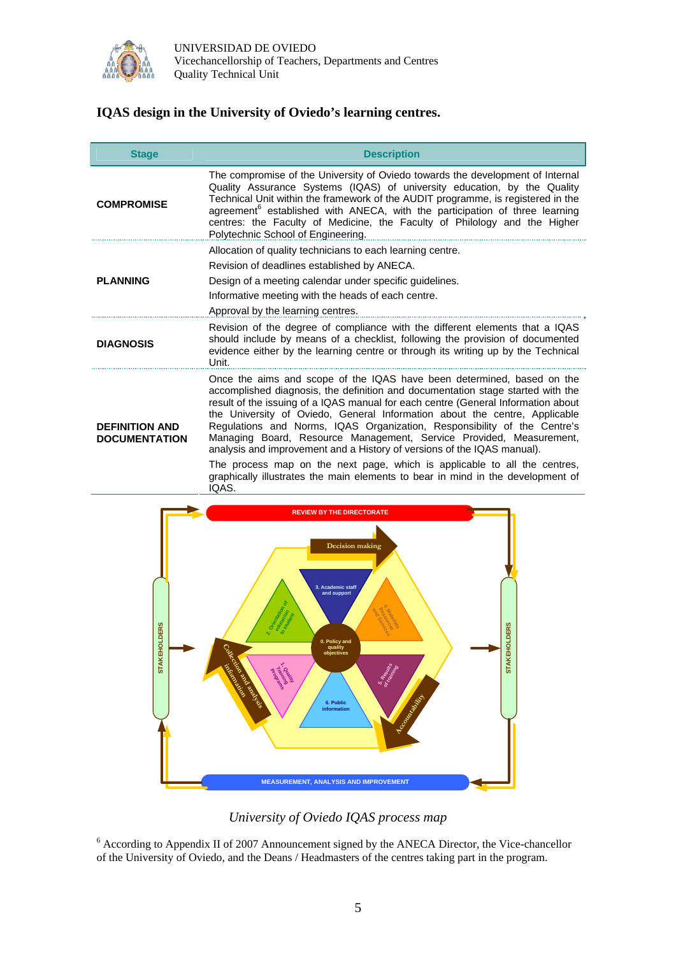

### **IQAS design in the University of Oviedo's learning centres.**

| <b>Stage</b>                                  | <b>Description</b>                                                                                                                                                                                                                                                                                                                                                                                                                                                                                                                                                                                                                                                                                                                  |
|-----------------------------------------------|-------------------------------------------------------------------------------------------------------------------------------------------------------------------------------------------------------------------------------------------------------------------------------------------------------------------------------------------------------------------------------------------------------------------------------------------------------------------------------------------------------------------------------------------------------------------------------------------------------------------------------------------------------------------------------------------------------------------------------------|
| <b>COMPROMISE</b>                             | The compromise of the University of Oviedo towards the development of Internal<br>Quality Assurance Systems (IQAS) of university education, by the Quality<br>Technical Unit within the framework of the AUDIT programme, is registered in the<br>agreement <sup>6</sup> established with ANECA, with the participation of three learning<br>centres: the Faculty of Medicine, the Faculty of Philology and the Higher<br>Polytechnic School of Engineering.                                                                                                                                                                                                                                                                        |
| <b>PLANNING</b>                               | Allocation of quality technicians to each learning centre.<br>Revision of deadlines established by ANECA.<br>Design of a meeting calendar under specific quidelines.<br>Informative meeting with the heads of each centre.<br>Approval by the learning centres.                                                                                                                                                                                                                                                                                                                                                                                                                                                                     |
| <b>DIAGNOSIS</b>                              | Revision of the degree of compliance with the different elements that a IQAS<br>should include by means of a checklist, following the provision of documented<br>evidence either by the learning centre or through its writing up by the Technical<br>Unit.                                                                                                                                                                                                                                                                                                                                                                                                                                                                         |
| <b>DEFINITION AND</b><br><b>DOCUMENTATION</b> | Once the aims and scope of the IQAS have been determined, based on the<br>accomplished diagnosis, the definition and documentation stage started with the<br>result of the issuing of a IQAS manual for each centre (General Information about<br>the University of Oviedo, General Information about the centre, Applicable<br>Regulations and Norms, IQAS Organization, Responsibility of the Centre's<br>Managing Board, Resource Management, Service Provided, Measurement,<br>analysis and improvement and a History of versions of the IQAS manual).<br>The process map on the next page, which is applicable to all the centres,<br>graphically illustrates the main elements to bear in mind in the development of<br>IQAS. |



### *University of Oviedo IQAS process map*

<sup>6</sup> According to Appendix II of 2007 Announcement signed by the ANECA Director, the Vice-chancellor of the University of Oviedo, and the Deans / Headmasters of the centres taking part in the program.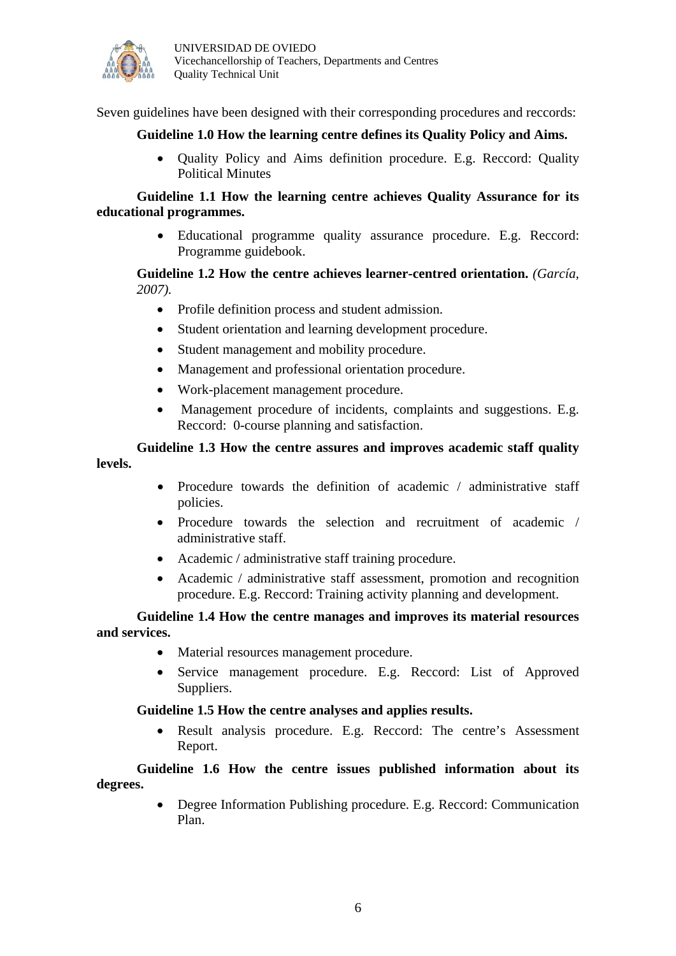

Seven guidelines have been designed with their corresponding procedures and reccords:

#### **Guideline 1.0 How the learning centre defines its Quality Policy and Aims.**

• Quality Policy and Aims definition procedure. E.g. Reccord: Quality Political Minutes

#### **Guideline 1.1 How the learning centre achieves Quality Assurance for its educational programmes.**

• Educational programme quality assurance procedure. E.g. Reccord: Programme guidebook.

#### **Guideline 1.2 How the centre achieves learner-centred orientation.** *(García, 2007).*

- Profile definition process and student admission.
- Student orientation and learning development procedure.
- Student management and mobility procedure.
- Management and professional orientation procedure.
- Work-placement management procedure.
- Management procedure of incidents, complaints and suggestions, E.g. Reccord: 0-course planning and satisfaction.

#### **Guideline 1.3 How the centre assures and improves academic staff quality levels.**

- Procedure towards the definition of academic / administrative staff policies.
- Procedure towards the selection and recruitment of academic / administrative staff.
- Academic / administrative staff training procedure.
- Academic / administrative staff assessment, promotion and recognition procedure. E.g. Reccord: Training activity planning and development.

#### **Guideline 1.4 How the centre manages and improves its material resources and services.**

- Material resources management procedure.
- Service management procedure. E.g. Reccord: List of Approved Suppliers.

#### **Guideline 1.5 How the centre analyses and applies results.**

• Result analysis procedure. E.g. Reccord: The centre's Assessment Report.

**Guideline 1.6 How the centre issues published information about its degrees.** 

> • Degree Information Publishing procedure. E.g. Reccord: Communication Plan.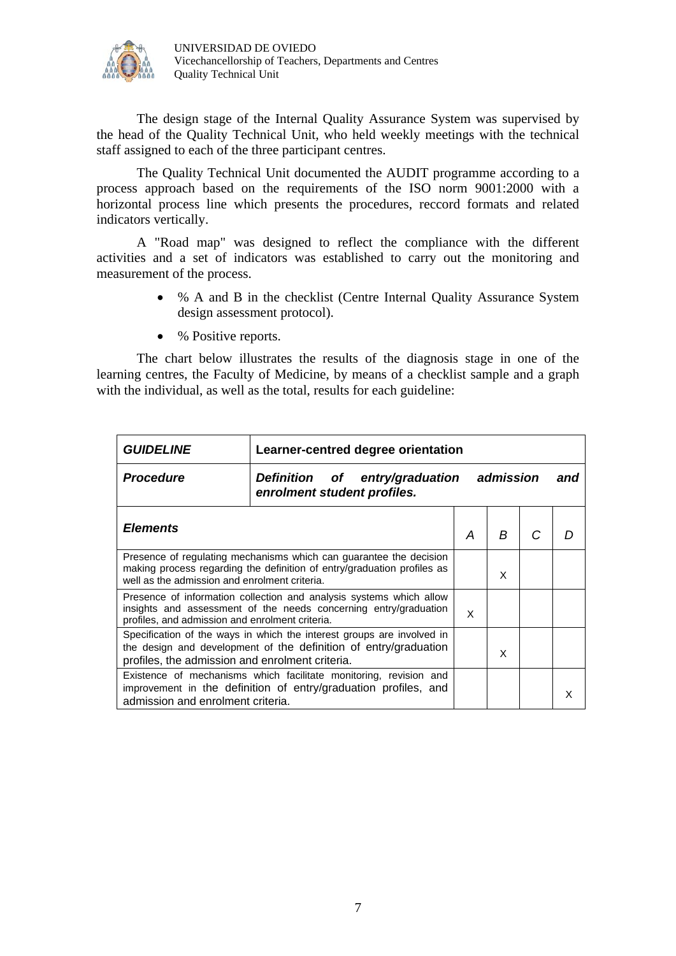

The design stage of the Internal Quality Assurance System was supervised by the head of the Quality Technical Unit, who held weekly meetings with the technical staff assigned to each of the three participant centres.

The Quality Technical Unit documented the AUDIT programme according to a process approach based on the requirements of the ISO norm 9001:2000 with a horizontal process line which presents the procedures, reccord formats and related indicators vertically.

A "Road map" was designed to reflect the compliance with the different activities and a set of indicators was established to carry out the monitoring and measurement of the process.

- % A and B in the checklist (Centre Internal Quality Assurance System design assessment protocol).
- % Positive reports.

The chart below illustrates the results of the diagnosis stage in one of the learning centres, the Faculty of Medicine, by means of a checklist sample and a graph with the individual, as well as the total, results for each guideline:

| <i><b>GUIDELINE</b></i>                                                                                                                                                                        | Learner-centred degree orientation                                      |   |   |  |     |
|------------------------------------------------------------------------------------------------------------------------------------------------------------------------------------------------|-------------------------------------------------------------------------|---|---|--|-----|
| <b>Procedure</b>                                                                                                                                                                               | Definition of entry/graduation admission<br>enrolment student profiles. |   |   |  | and |
| <b>Elements</b>                                                                                                                                                                                |                                                                         | А | R |  |     |
| Presence of regulating mechanisms which can guarantee the decision<br>making process regarding the definition of entry/graduation profiles as<br>well as the admission and enrolment criteria. |                                                                         |   | x |  |     |
| Presence of information collection and analysis systems which allow<br>insights and assessment of the needs concerning entry/graduation<br>profiles, and admission and enrolment criteria.     |                                                                         |   |   |  |     |
| Specification of the ways in which the interest groups are involved in<br>the design and development of the definition of entry/graduation<br>profiles, the admission and enrolment criteria.  |                                                                         |   | x |  |     |
| Existence of mechanisms which facilitate monitoring, revision and<br>improvement in the definition of entry/graduation profiles, and<br>admission and enrolment criteria.                      |                                                                         |   |   |  |     |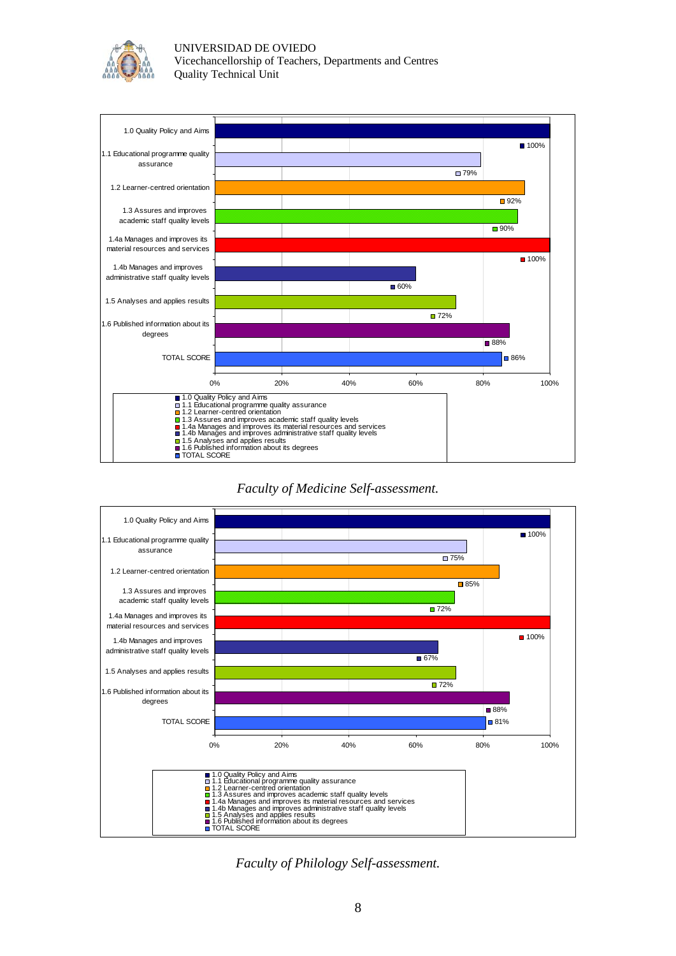

UNIVERSIDAD DE OVIEDO Vicechancellorship of Teachers, Departments and Centres Quality Technical Unit



#### *Faculty of Medicine Self-assessment.*



*Faculty of Philology Self-assessment.*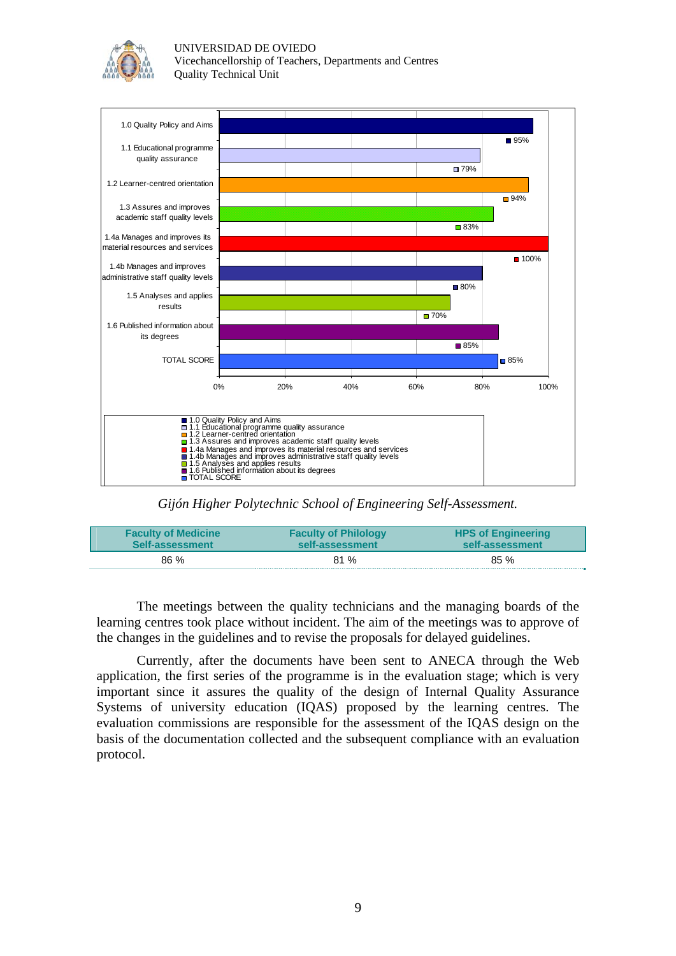

UNIVERSIDAD DE OVIEDO Vicechancellorship of Teachers, Departments and Centres Quality Technical Unit



*Gijón Higher Polytechnic School of Engineering Self-Assessment.*

| <b>Faculty of Medicine</b> | <b>Faculty of Philology</b> | <b>HPS of Engineering</b> |
|----------------------------|-----------------------------|---------------------------|
| Self-assessment            | self-assessment             | self-assessment           |
| $86\%$                     | 81%                         | 85 %                      |

The meetings between the quality technicians and the managing boards of the learning centres took place without incident. The aim of the meetings was to approve of the changes in the guidelines and to revise the proposals for delayed guidelines.

Currently, after the documents have been sent to ANECA through the Web application, the first series of the programme is in the evaluation stage; which is very important since it assures the quality of the design of Internal Quality Assurance Systems of university education (IQAS) proposed by the learning centres. The evaluation commissions are responsible for the assessment of the IQAS design on the basis of the documentation collected and the subsequent compliance with an evaluation protocol.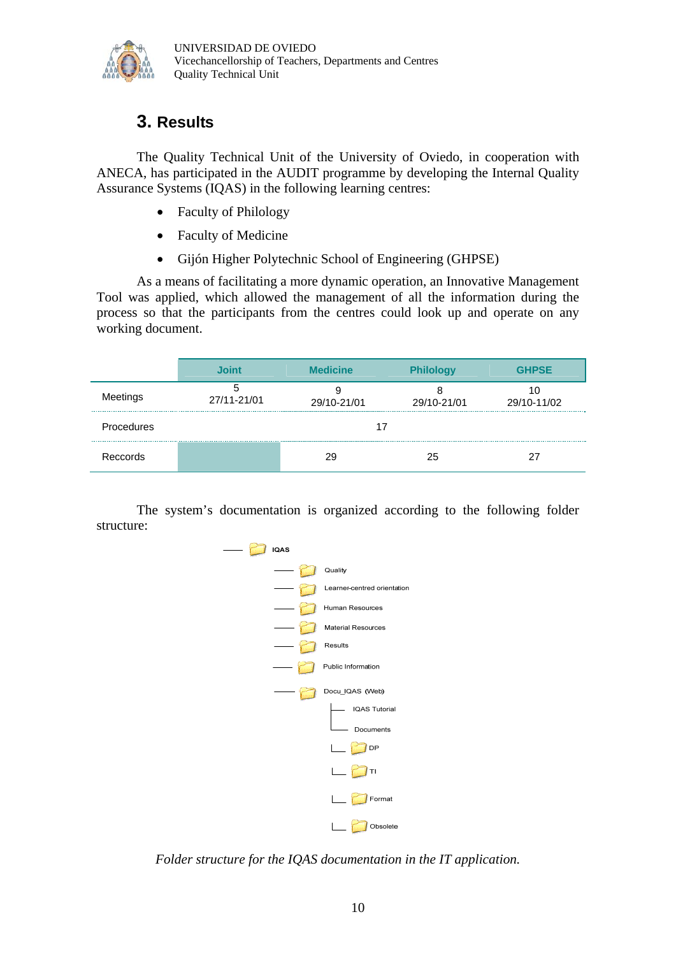

# **3. Results**

The Quality Technical Unit of the University of Oviedo, in cooperation with ANECA, has participated in the AUDIT programme by developing the Internal Quality Assurance Systems (IQAS) in the following learning centres:

- Faculty of Philology
- Faculty of Medicine
- Gijón Higher Polytechnic School of Engineering (GHPSE)

As a means of facilitating a more dynamic operation, an Innovative Management Tool was applied, which allowed the management of all the information during the process so that the participants from the centres could look up and operate on any working document.

|            | Joint       | <b>Medicine</b> | <b>Philology</b> | <b>GHPSE</b> |
|------------|-------------|-----------------|------------------|--------------|
| Meetings   | 27/11-21/01 | 29/10-21/01     | 29/10-21/01      | 29/10-11/02  |
| Procedures |             |                 |                  |              |
| Reccords   |             | 29              | 25               |              |

The system's documentation is organized according to the following folder structure:



*Folder structure for the IQAS documentation in the IT application.*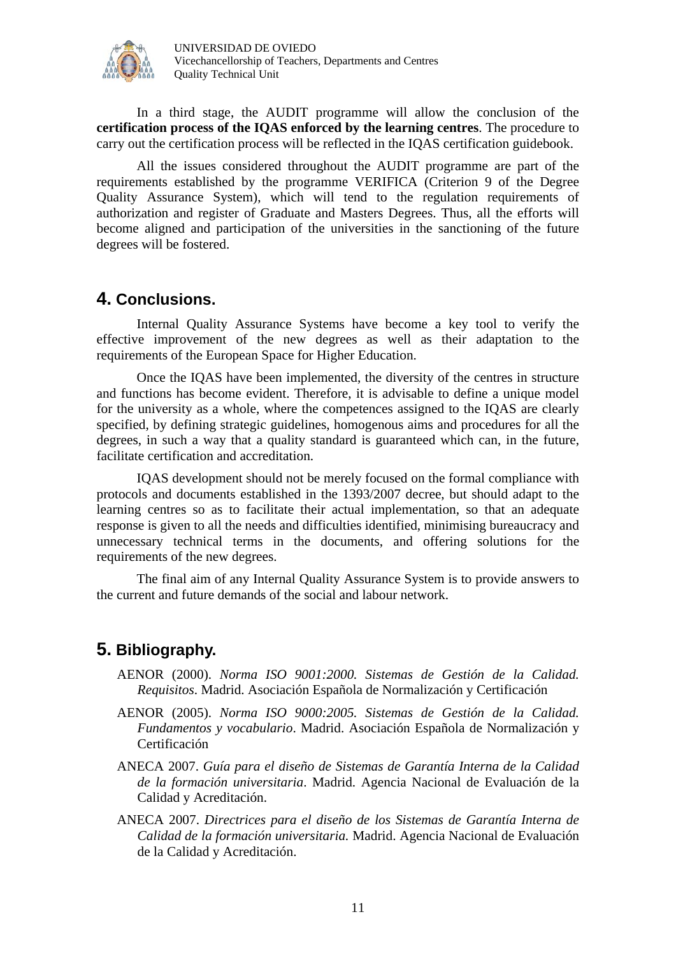

In a third stage, the AUDIT programme will allow the conclusion of the **certification process of the IQAS enforced by the learning centres**. The procedure to carry out the certification process will be reflected in the IQAS certification guidebook.

All the issues considered throughout the AUDIT programme are part of the requirements established by the programme VERIFICA (Criterion 9 of the Degree Quality Assurance System), which will tend to the regulation requirements of authorization and register of Graduate and Masters Degrees. Thus, all the efforts will become aligned and participation of the universities in the sanctioning of the future degrees will be fostered.

## **4. Conclusions.**

Internal Quality Assurance Systems have become a key tool to verify the effective improvement of the new degrees as well as their adaptation to the requirements of the European Space for Higher Education.

Once the IQAS have been implemented, the diversity of the centres in structure and functions has become evident. Therefore, it is advisable to define a unique model for the university as a whole, where the competences assigned to the IQAS are clearly specified, by defining strategic guidelines, homogenous aims and procedures for all the degrees, in such a way that a quality standard is guaranteed which can, in the future, facilitate certification and accreditation.

IQAS development should not be merely focused on the formal compliance with protocols and documents established in the 1393/2007 decree, but should adapt to the learning centres so as to facilitate their actual implementation, so that an adequate response is given to all the needs and difficulties identified, minimising bureaucracy and unnecessary technical terms in the documents, and offering solutions for the requirements of the new degrees.

The final aim of any Internal Quality Assurance System is to provide answers to the current and future demands of the social and labour network.

## **5. Bibliography.**

- AENOR (2000). *Norma ISO 9001:2000. Sistemas de Gestión de la Calidad. Requisitos*. Madrid. Asociación Española de Normalización y Certificación
- AENOR (2005). *Norma ISO 9000:2005. Sistemas de Gestión de la Calidad. Fundamentos y vocabulario*. Madrid. Asociación Española de Normalización y Certificación
- ANECA 2007. *Guía para el diseño de Sistemas de Garantía Interna de la Calidad de la formación universitaria*. Madrid. Agencia Nacional de Evaluación de la Calidad y Acreditación.
- ANECA 2007. *Directrices para el diseño de los Sistemas de Garantía Interna de Calidad de la formación universitaria.* Madrid. Agencia Nacional de Evaluación de la Calidad y Acreditación.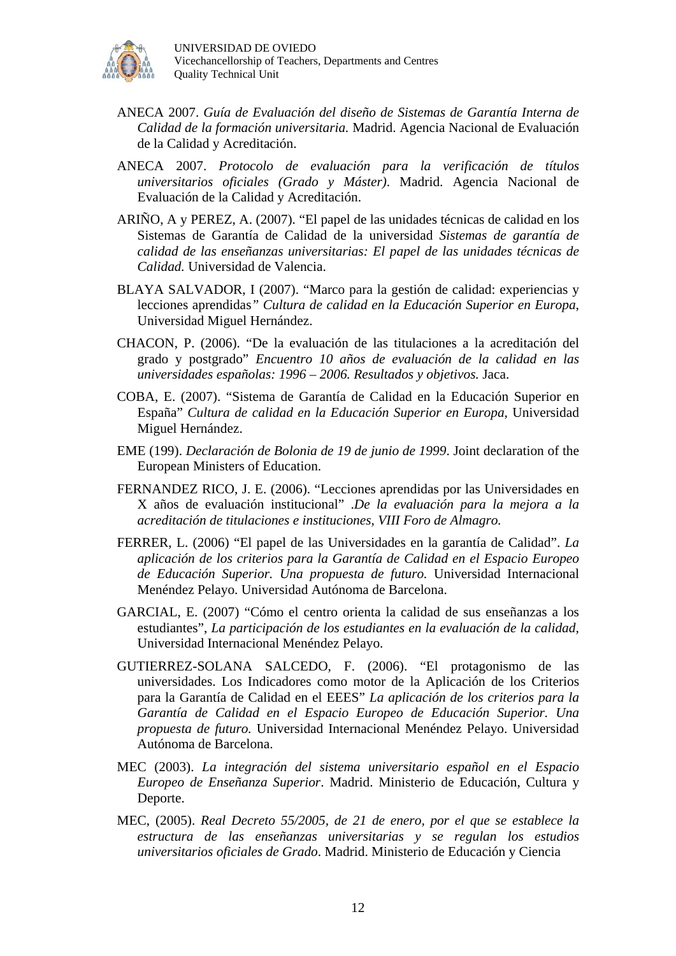

- ANECA 2007. *Guía de Evaluación del diseño de Sistemas de Garantía Interna de Calidad de la formación universitaria.* Madrid. Agencia Nacional de Evaluación de la Calidad y Acreditación.
- ANECA 2007. *Protocolo de evaluación para la verificación de títulos universitarios oficiales (Grado y Máster)*. Madrid. Agencia Nacional de Evaluación de la Calidad y Acreditación.
- ARIÑO, A y PEREZ, A. (2007). "El papel de las unidades técnicas de calidad en los Sistemas de Garantía de Calidad de la universidad *Sistemas de garantía de calidad de las enseñanzas universitarias: El papel de las unidades técnicas de Calidad.* Universidad de Valencia.
- BLAYA SALVADOR, I (2007). "Marco para la gestión de calidad: experiencias y lecciones aprendidas*" Cultura de calidad en la Educación Superior en Europa*, Universidad Miguel Hernández.
- CHACON, P. (2006). "De la evaluación de las titulaciones a la acreditación del grado y postgrado" *Encuentro 10 años de evaluación de la calidad en las universidades españolas: 1996 – 2006. Resultados y objetivos.* Jaca.
- COBA, E. (2007). "Sistema de Garantía de Calidad en la Educación Superior en España" *Cultura de calidad en la Educación Superior en Europa*, Universidad Miguel Hernández.
- EME (199). *Declaración de Bolonia de 19 de junio de 1999*. Joint declaration of the European Ministers of Education.
- FERNANDEZ RICO, J. E. (2006). "Lecciones aprendidas por las Universidades en X años de evaluación institucional" .*De la evaluación para la mejora a la acreditación de titulaciones e instituciones, VIII Foro de Almagro.*
- FERRER, L. (2006) "El papel de las Universidades en la garantía de Calidad". *La aplicación de los criterios para la Garantía de Calidad en el Espacio Europeo de Educación Superior. Una propuesta de futuro.* Universidad Internacional Menéndez Pelayo. Universidad Autónoma de Barcelona.
- GARCIAL, E. (2007) "Cómo el centro orienta la calidad de sus enseñanzas a los estudiantes", *La participación de los estudiantes en la evaluación de la calidad,* Universidad Internacional Menéndez Pelayo.
- GUTIERREZ-SOLANA SALCEDO, F. (2006). "El protagonismo de las universidades. Los Indicadores como motor de la Aplicación de los Criterios para la Garantía de Calidad en el EEES" *La aplicación de los criterios para la Garantía de Calidad en el Espacio Europeo de Educación Superior. Una propuesta de futuro.* Universidad Internacional Menéndez Pelayo. Universidad Autónoma de Barcelona.
- MEC (2003). *La integración del sistema universitario español en el Espacio Europeo de Enseñanza Superior*. Madrid. Ministerio de Educación, Cultura y Deporte.
- MEC, (2005). *Real Decreto 55/2005, de 21 de enero, por el que se establece la estructura de las enseñanzas universitarias y se regulan los estudios universitarios oficiales de Grado*. Madrid. Ministerio de Educación y Ciencia